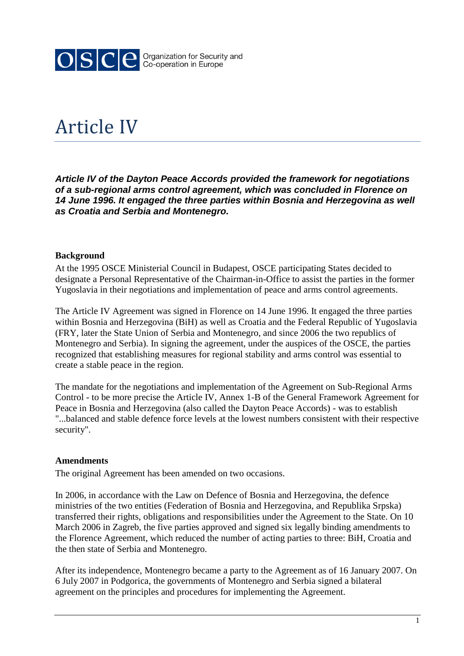

# Article IV

*Article IV of the Dayton Peace Accords provided the framework for negotiations of a sub-regional arms control agreement, which was concluded in Florence on 14 June 1996. It engaged the three parties within Bosnia and Herzegovina as well as Croatia and Serbia and Montenegro.*

### **Background**

At the 1995 OSCE Ministerial Council in Budapest, OSCE participating States decided to designate a Personal Representative of the Chairman-in-Office to assist the parties in the former Yugoslavia in their negotiations and implementation of peace and arms control agreements.

The Article IV Agreement was signed in Florence on 14 June 1996. It engaged the three parties within Bosnia and Herzegovina (BiH) as well as Croatia and the Federal Republic of Yugoslavia (FRY, later the State Union of Serbia and Montenegro, and since 2006 the two republics of Montenegro and Serbia). In signing the agreement, under the auspices of the OSCE, the parties recognized that establishing measures for regional stability and arms control was essential to create a stable peace in the region.

The mandate for the negotiations and implementation of the Agreement on Sub-Regional Arms Control - to be more precise the Article IV, Annex 1-B of the General Framework Agreement for Peace in Bosnia and Herzegovina (also called the Dayton Peace Accords) - was to establish "...balanced and stable defence force levels at the lowest numbers consistent with their respective security".

#### **Amendments**

The original Agreement has been amended on two occasions.

In 2006, in accordance with the Law on Defence of Bosnia and Herzegovina, the defence ministries of the two entities (Federation of Bosnia and Herzegovina, and Republika Srpska) transferred their rights, obligations and responsibilities under the Agreement to the State. On 10 March 2006 in Zagreb, the five parties approved and signed six legally binding amendments to the Florence Agreement, which reduced the number of acting parties to three: BiH, Croatia and the then state of Serbia and Montenegro.

After its independence, Montenegro became a party to the Agreement as of 16 January 2007. On 6 July 2007 in Podgorica, the governments of Montenegro and Serbia signed a bilateral agreement on the principles and procedures for implementing the Agreement.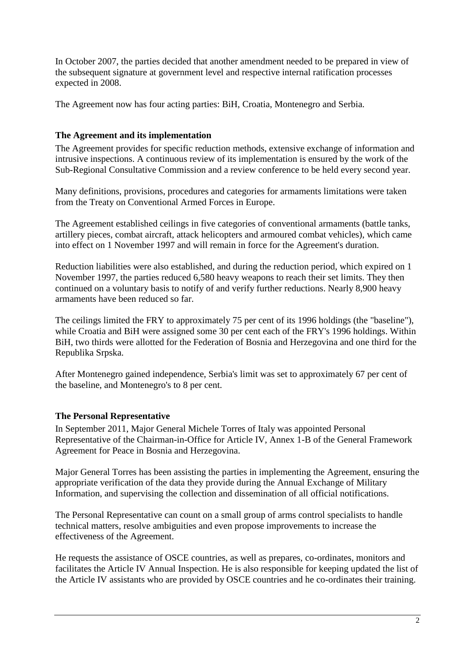In October 2007, the parties decided that another amendment needed to be prepared in view of the subsequent signature at government level and respective internal ratification processes expected in 2008.

The Agreement now has four acting parties: BiH, Croatia, Montenegro and Serbia.

## **The Agreement and its implementation**

The Agreement provides for specific reduction methods, extensive exchange of information and intrusive inspections. A continuous review of its implementation is ensured by the work of the Sub-Regional Consultative Commission and a review conference to be held every second year.

Many definitions, provisions, procedures and categories for armaments limitations were taken from the Treaty on Conventional Armed Forces in Europe.

The Agreement established ceilings in five categories of conventional armaments (battle tanks, artillery pieces, combat aircraft, attack helicopters and armoured combat vehicles), which came into effect on 1 November 1997 and will remain in force for the Agreement's duration.

Reduction liabilities were also established, and during the reduction period, which expired on 1 November 1997, the parties reduced 6,580 heavy weapons to reach their set limits. They then continued on a voluntary basis to notify of and verify further reductions. Nearly 8,900 heavy armaments have been reduced so far.

The ceilings limited the FRY to approximately 75 per cent of its 1996 holdings (the "baseline"), while Croatia and BiH were assigned some 30 per cent each of the FRY's 1996 holdings. Within BiH, two thirds were allotted for the Federation of Bosnia and Herzegovina and one third for the Republika Srpska.

After Montenegro gained independence, Serbia's limit was set to approximately 67 per cent of the baseline, and Montenegro's to 8 per cent.

## **The Personal Representative**

In September 2011, Major General Michele Torres of Italy was appointed Personal Representative of the Chairman-in-Office for Article IV, Annex 1-B of the General Framework Agreement for Peace in Bosnia and Herzegovina.

Major General Torres has been assisting the parties in implementing the Agreement, ensuring the appropriate verification of the data they provide during the Annual Exchange of Military Information, and supervising the collection and dissemination of all official notifications.

The Personal Representative can count on a small group of arms control specialists to handle technical matters, resolve ambiguities and even propose improvements to increase the effectiveness of the Agreement.

He requests the assistance of OSCE countries, as well as prepares, co-ordinates, monitors and facilitates the Article IV Annual Inspection. He is also responsible for keeping updated the list of the Article IV assistants who are provided by OSCE countries and he co-ordinates their training.